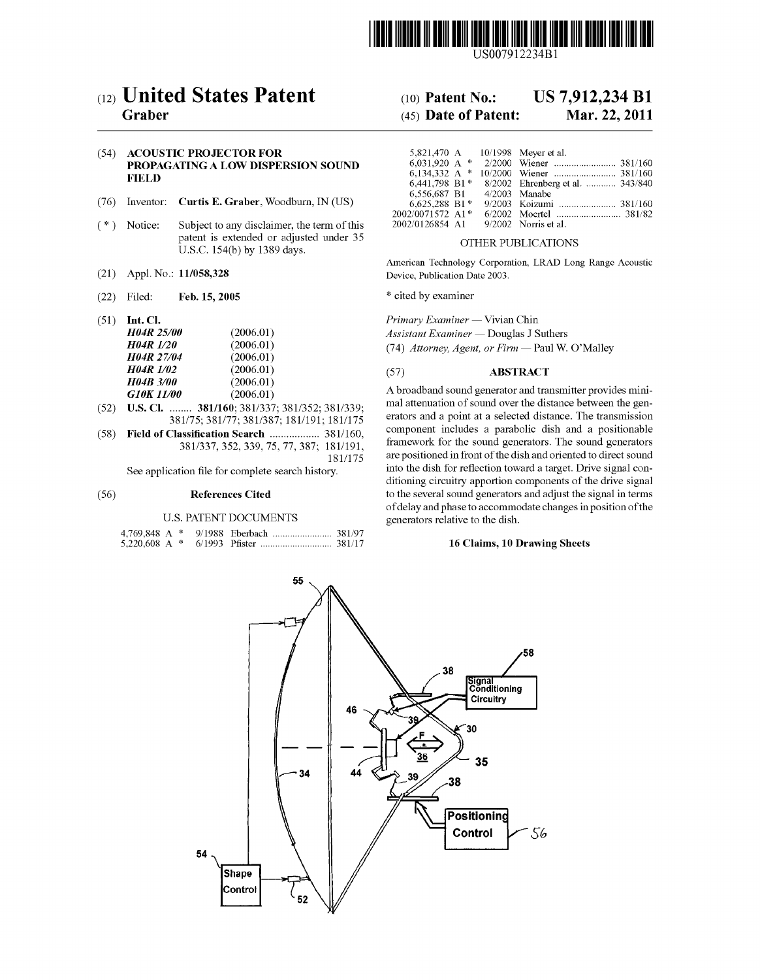

US007912234B1

# (12) United States Patent

### Graber

#### (54) ACOUSTIC PROJECTOR FOR PROPAGATING A LOW DISPERSION SOUND FIELD

- (76) Inventor: Curtis E. Graber, Woodburn, IN (US)
- (\*) Notice: Subject to any disclaimer, the term of this patent is extended or adjusted under 35 U.S.C. 154(b) by 1389 days.
- (21) Appl. No.: 11/058,328
- (22) Filed: Feb. 15, 2005
- (51) Int. Cl.

| <b>H04R 25/00</b> | (2006.01) |
|-------------------|-----------|
| <b>H04R 1/20</b>  | (2006.01) |
| <b>H04R 27/04</b> | (2006.01) |
| <b>H04R 1/02</b>  | (2006.01) |
| <b>H04B 3/00</b>  | (2006.01) |
| <b>G10K 11/00</b> | (2006.01) |
|                   |           |

- (52) U.S. Cl. ........ 381/160; 381/337; 381/352: 381/339; 381/75; 381/77; 381/387; 181/191, 181/175
- (58) Field of Classification Search .................. 381/160, 381/337,352,339, 75, 77,387; 181/191, 181/175

See application file for complete search history.

#### (56) References Cited

#### U.S. PATENT DOCUMENTS

# (10) Patent No.: US 7,912,234 B1<br>(45) Date of Patent: Mar. 22, 2011

## $(45)$  Date of Patent:

|                  |  | 5,821,470 A 10/1998 Meyer et al.                |
|------------------|--|-------------------------------------------------|
| 6.031.920 A $*$  |  |                                                 |
| 6.134.332 A $*$  |  |                                                 |
|                  |  | 6,441,798 B1 * 8/2002 Ehrenberg et al.  343/840 |
| 6.556.687 B1     |  | $4/2003$ Manabe                                 |
| 6,625,288 B1*    |  | 9/2003 Koizumi  381/160                         |
| 2002/0071572 A1* |  |                                                 |
| 2002/0126854 A1  |  | $9/2002$ Norris et al.                          |

#### OTHER PUBLICATIONS

American Technology Corporation, LRAD Long Range Acoustic Device, Publication Date 2003.

\* cited by examiner

Primary Examiner — Vivian Chin Assistant Examiner — Douglas J Suthers (74) Attorney, Agent, or Firm — Paul W. O'Malley

#### (57) ABSTRACT

A broadband sound generator and transmitter provides mini mal attenuation of sound over the distance between the generators and a point at a selected distance. The transmission component includes a parabolic dish and a positionable framework for the sound generators. The sound generators are positioned in front of the dish and oriented to direct sound into the dish for reflection toward a target. Drive signal con ditioning circuitry apportion components of the drive signal to the several sound generators and adjust the signal in terms of delay and phase to accommodate changes in position of the generators relative to the dish.

#### 16 Claims, 10 Drawing Sheets

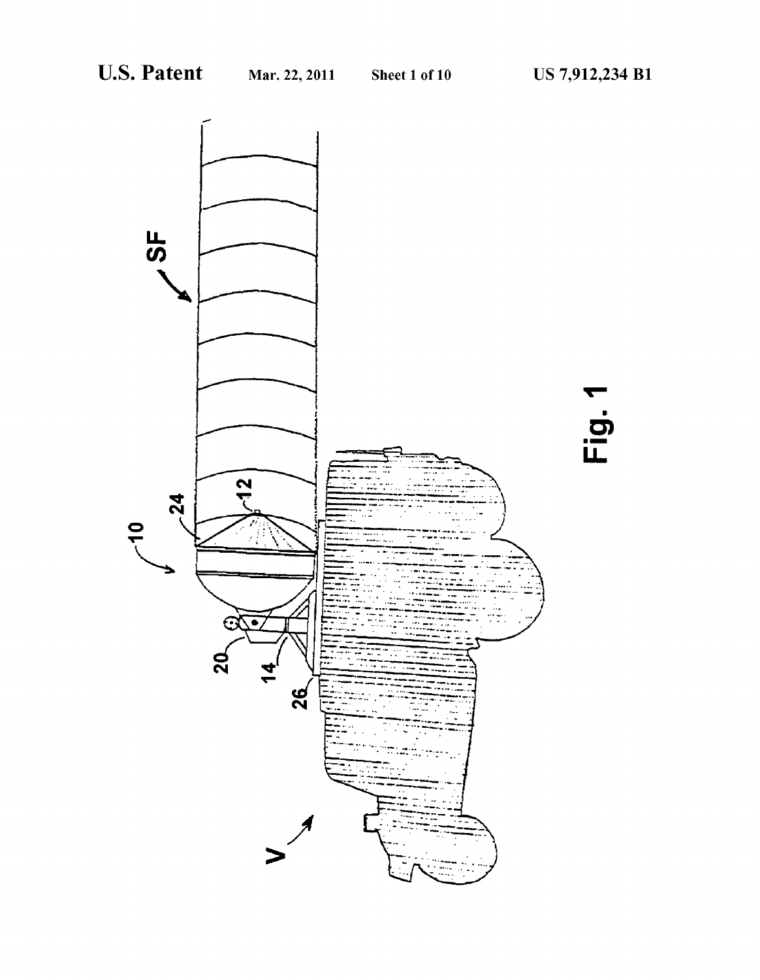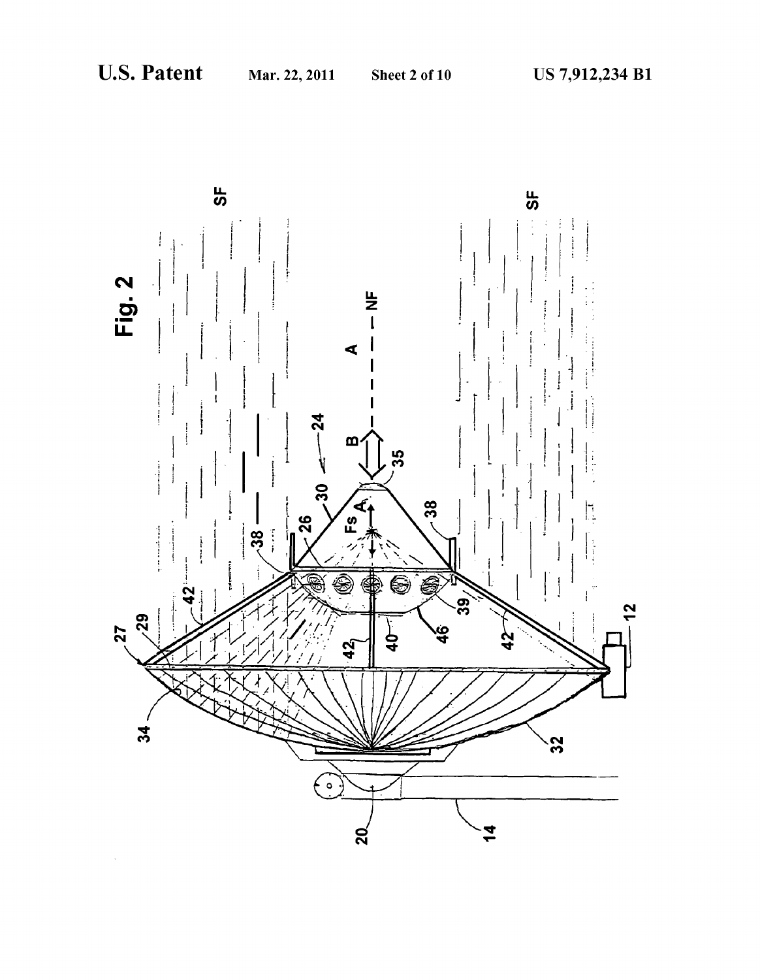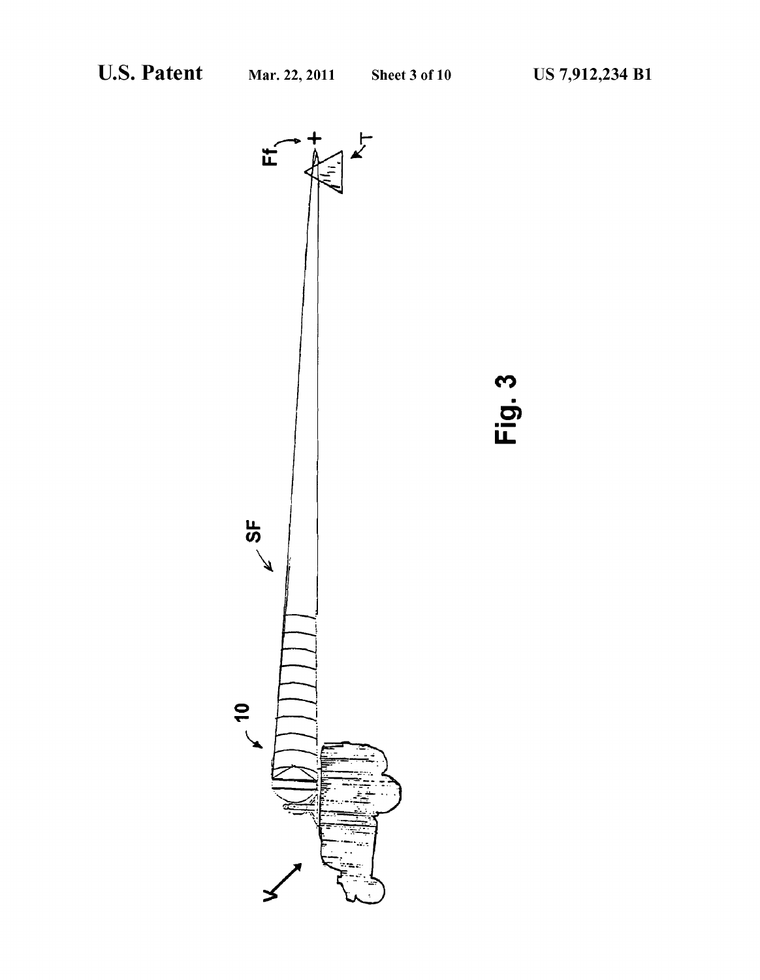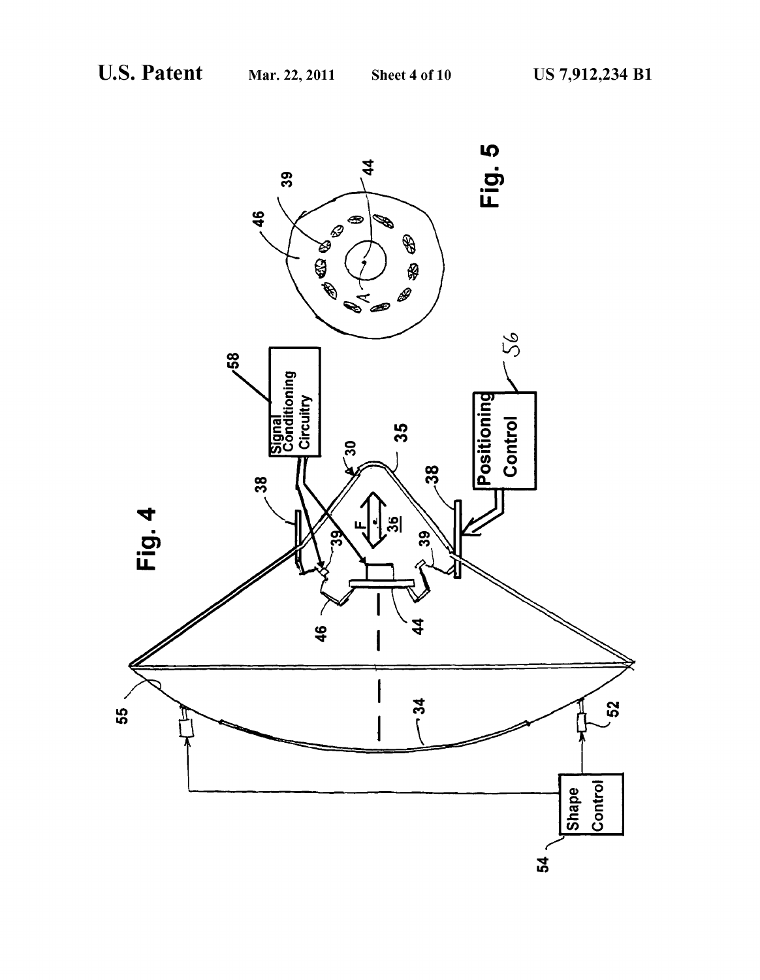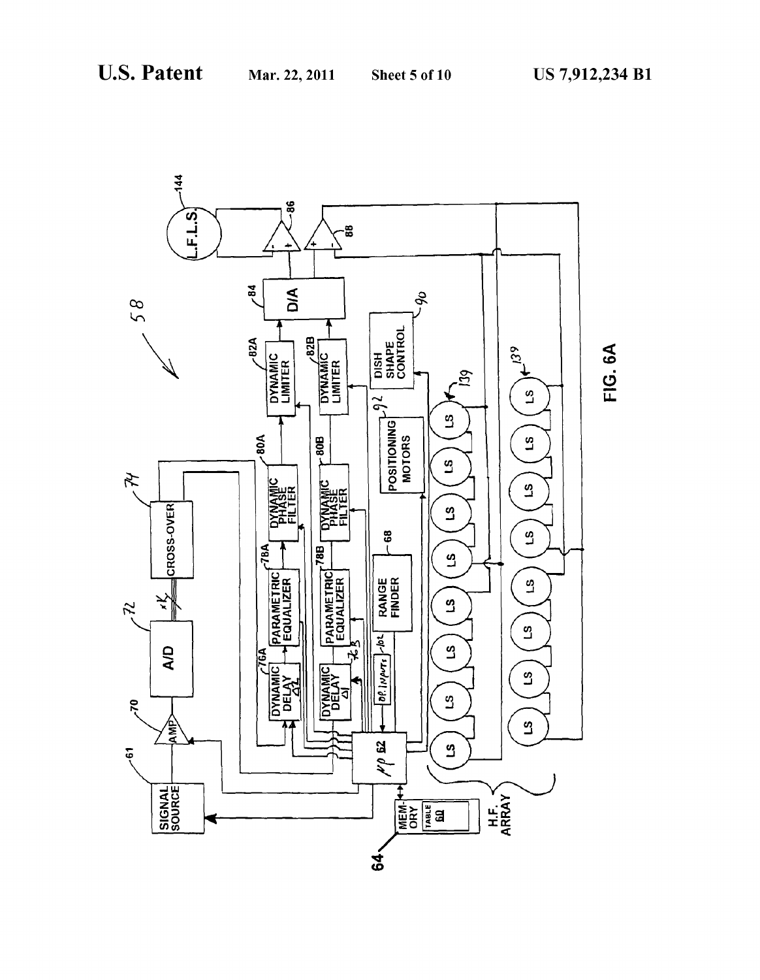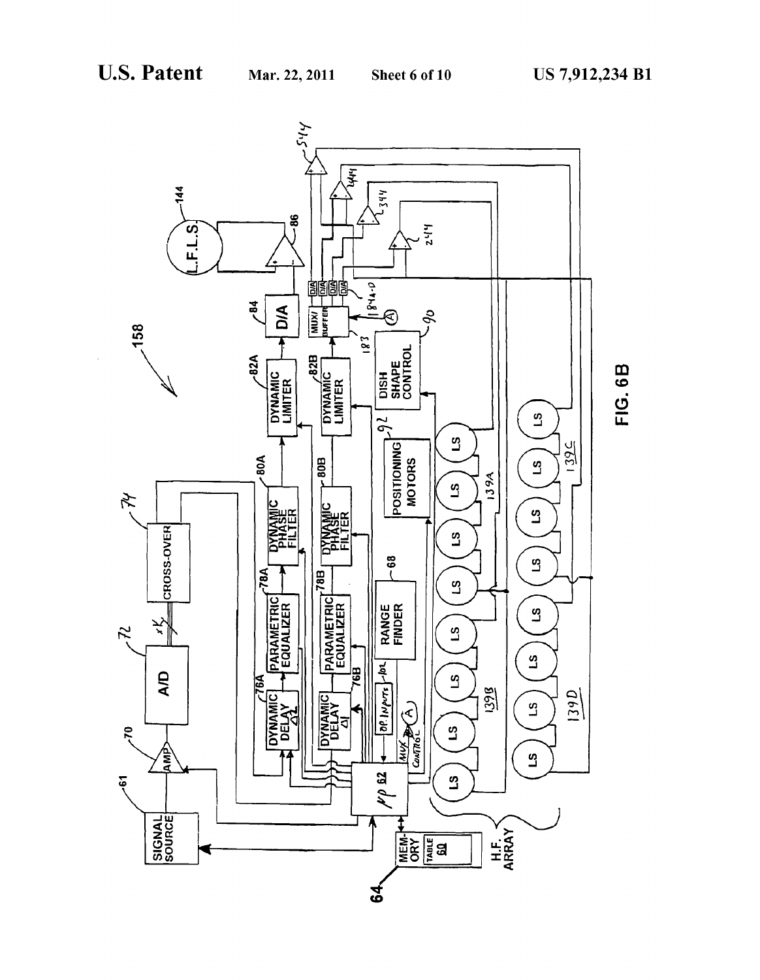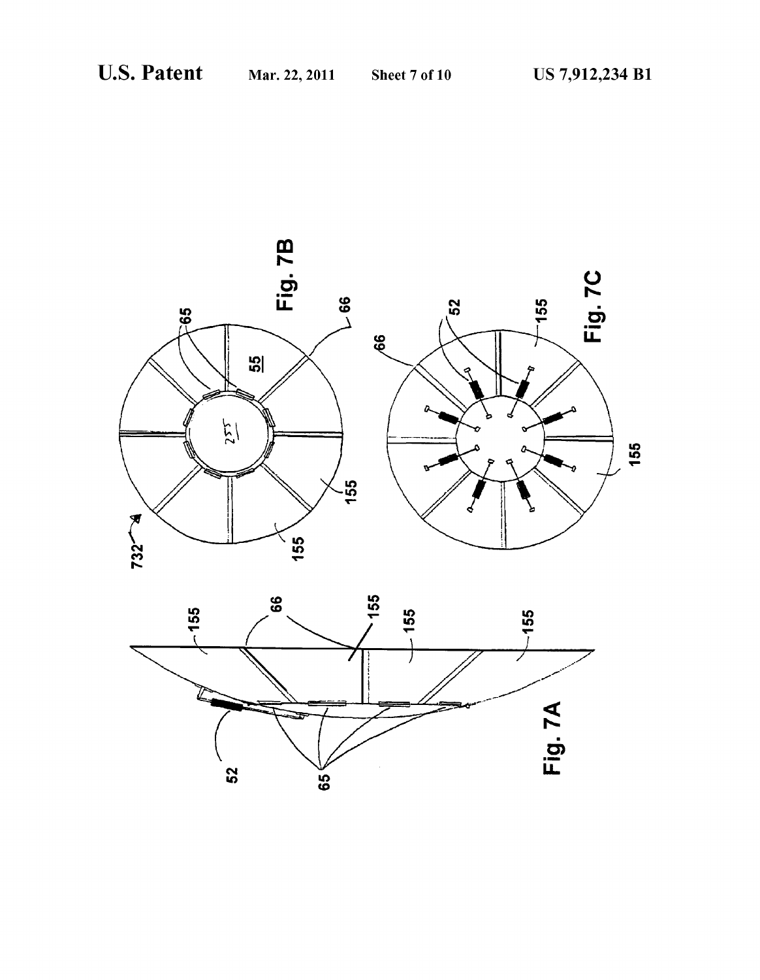

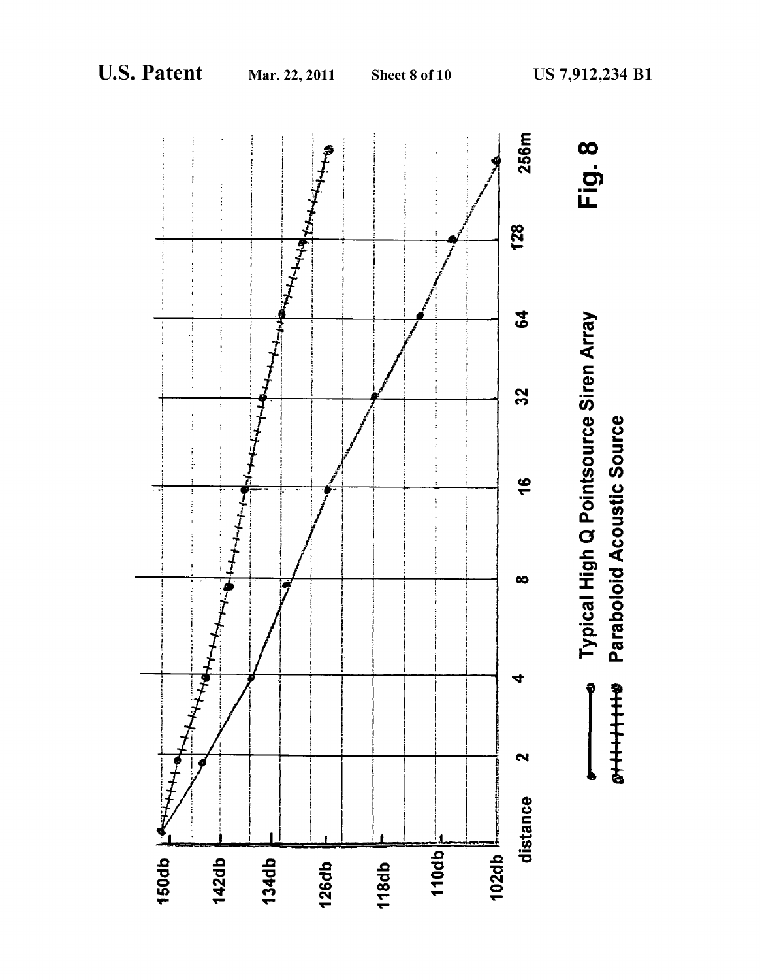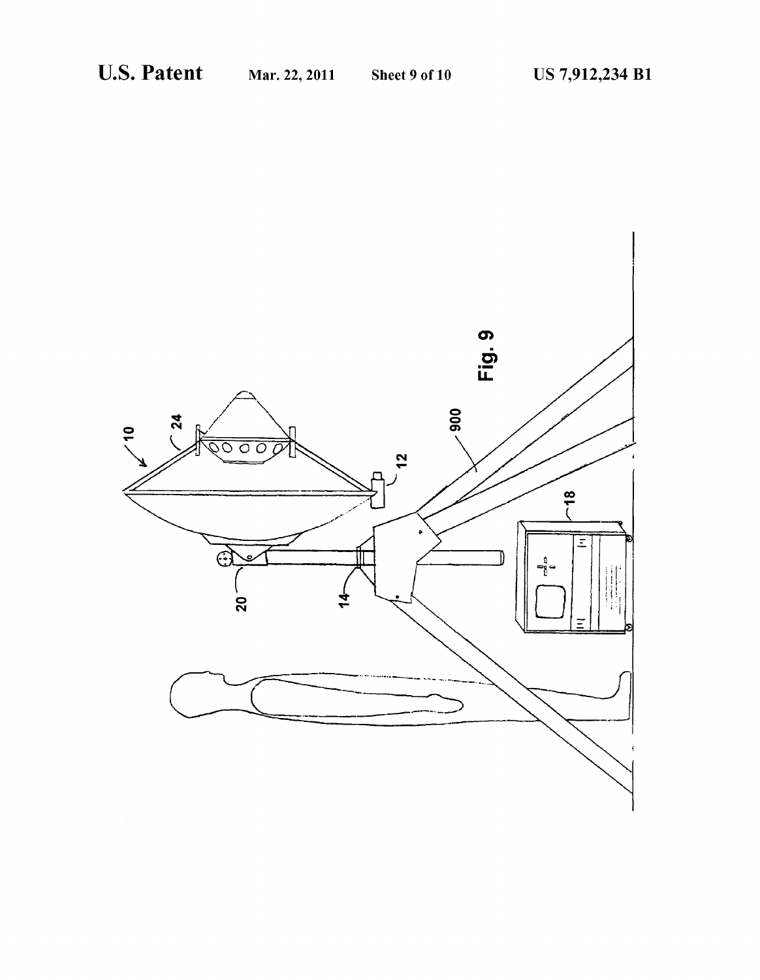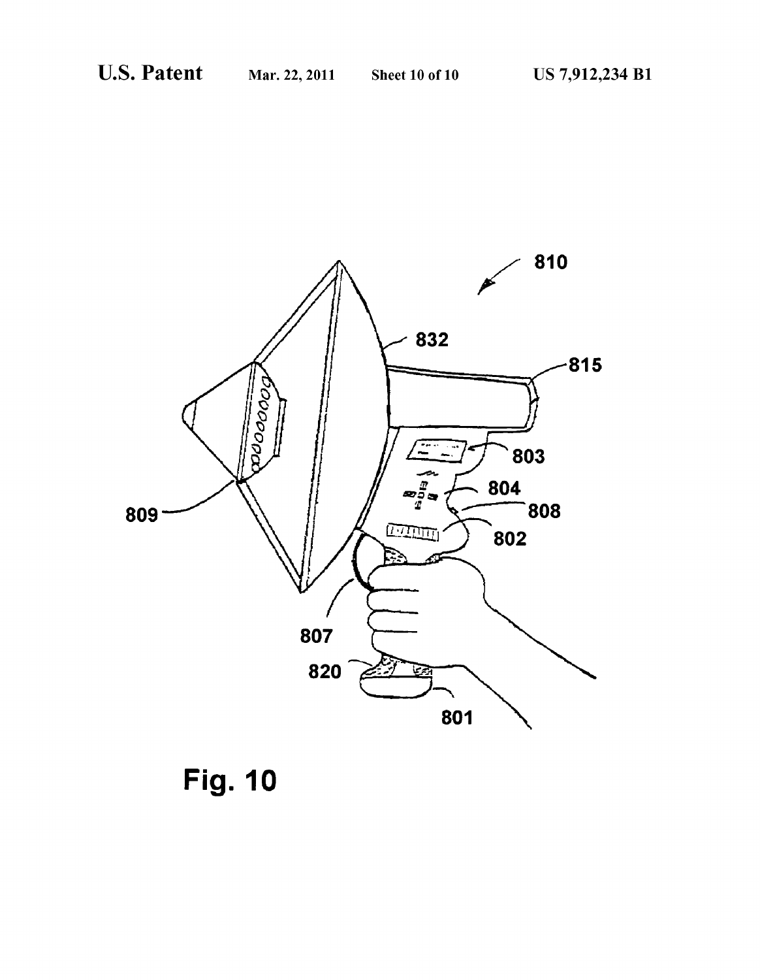

Fig. 10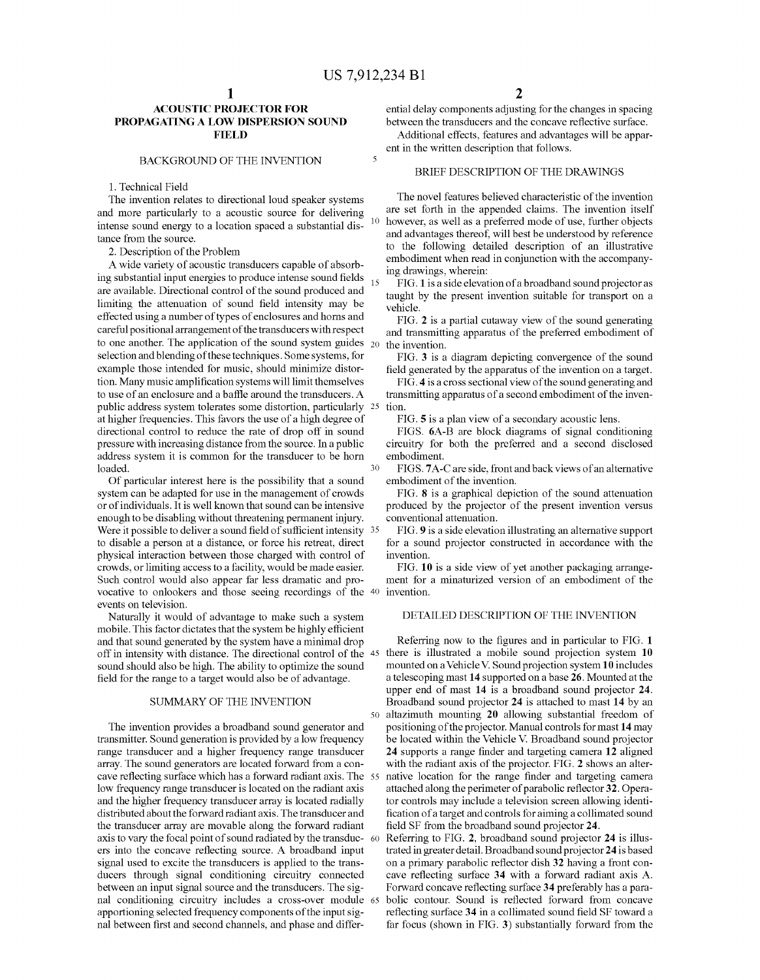10

 $\overline{\mathbf{S}}$ 

#### ACOUSTIC PROJECTOR FOR PROPAGATING A LOW DISPERSION SOUND **FIELD**

#### BACKGROUND OF THE INVENTION

1. Technical Field

The invention relates to directional loud speaker systems and more particularly to a acoustic source for delivering intense sound energy to a location spaced a substantial distance from the source.

2. Description of the Problem

A wide variety of acoustic transducers capable of absorb  $\frac{15}{15}$  ing substantial input energies to produce intense sound fields  $\frac{15}{15}$ are available. Directional control of the sound produced and limiting the attenuation of Sound field intensity may be effected using a number of types of enclosures and horns and careful positional arrangement of the transducers with respect to one another. The application of the sound system guides  $_{20}$ selection and blending of these techniques. Some systems, for example those intended for music, should minimize distor tion. Many music amplification systems will limit themselves to use of an enclosure and a baffle around the transducers. A public address system tolerates Some distortion, particularly 25 at higher frequencies. This favors the use of a high degree of directional control to reduce the rate of drop off in sound pressure with increasing distance from the Source. In a public address system it is common for the transducer to be horn loaded. 30

Of particular interest here is the possibility that a sound or of individuals. It is well known that sound can be intensive enough to be disabling without threatening permanent injury. Were it possible to deliver a sound field of sufficient intensity 35 to disable a person at a distance, or force his retreat, direct physical interaction between those charged with control of crowds, or limiting access to a facility, would be made easier. Such control would also appear far less dramatic and provocative to onlookers and those seeing recordings of the  $40$ events on television.

Naturally it would of advantage to make such a system mobile. This factor dictates that the system be highly efficient and that sound generated by the system have a minimal drop sound should also be high. The ability to optimize the sound field for the range to a target would also be of advantage.

#### SUMMARY OF THE INVENTION

The invention provides a broadband sound generator and transmitter. Sound generation is provided by a low frequency range transducer and a higher frequency range transducer array. The sound generators are located forward from a concave reflecting surface which has a forward radiant axis. The 55 low frequency range transducer is located on the radiant axis and the higher frequency transducer array is located radially distributed about the forward radiant axis. The transducer and the transducer array are movable along the forward radiant axis to vary the focal point of sound radiated by the transduc- 60 ers into the concave reflecting source. A broadband input signal used to excite the transducers is applied to the trans ducers through signal conditioning circuitry connected between an input signal source and the transducers. The sig nal conditioning circuitry includes a cross-over module 65 apportioning selected frequency components of the input sig nal between first and second channels, and phase and differ

ential delay components adjusting for the changes in spacing between the transducers and the concave reflective surface.

Additional effects, features and advantages will be appar ent in the written description that follows.

#### BRIEF DESCRIPTION OF THE DRAWINGS

The novel features believed characteristic of the invention are set forth in the appended claims. The invention itself however, as well as a preferred mode of use, further objects and advantages thereof, will best be understood by reference to the following detailed description of an illustrative embodiment when read in conjunction with the accompanying drawings, wherein:

FIG. 1 is a side elevation of a broadband sound projector as taught by the present invention Suitable for transport on a vehicle.

FIG. 2 is a partial cutaway view of the sound generating and transmitting apparatus of the preferred embodiment of the invention.

FIG. 3 is a diagram depicting convergence of the sound field generated by the apparatus of the invention on a target.

FIG. 4 is a cross sectional view of the sound generating and transmitting apparatus of a second embodiment of the inven tion.

FIG. 5 is a plan view of a secondary acoustic lens.

FIGS. 6A-B are block diagrams of signal conditioning circuitry for both the preferred and a second disclosed embodiment.

FIGS. 7A-C are side, front and back views of an alternative embodiment of the invention.

FIG. 8 is a graphical depiction of the sound attenuation produced by the projector of the present invention versus conventional attenuation.

FIG. 9 is a side elevation illustrating an alternative support for a sound projector constructed in accordance with the invention.

FIG. 10 is a side view of yet another packaging arrange ment for a minaturized version of an embodiment of the invention.

#### DETAILED DESCRIPTION OF THE INVENTION

off in intensity with distance. The directional control of the 45 there is illustrated a mobile sound projection system 10 50 altazimuth mounting 20 allowing Substantial freedom of Referring now to the figures and in particular to FIG. 1 mounted on a Vehicle V. Sound projection system 10 includes a telescoping mast 14 Supported on a base 26. Mounted at the upper end of mast 14 is a broadband sound projector 24. Broadband sound projector 24 is attached to mast 14 by an positioning of the projector. Manual controls for mast 14 may<br>be located within the Vehicle V. Broadband sound projector 24 supports a range finder and targeting camera 12 aligned with the radiant axis of the projector. FIG. 2 shows an alter native location for the range finder and targeting camera attached along the perimeter of parabolic reflector 32. Opera tor controls may include a television screen allowing identi fication of a target and controls for aiming a collimated sound field SF from the broadband sound projector 24.

Referring to FIG. 2, broadband sound projector 24 is illus trated in greater detail. Broadband sound projector 24 is based on a primary parabolic reflector dish 32 having a front con cave reflecting surface 34 with a forward radiant axis A. Forward concave reflecting surface 34 preferably has a para bolic contour. Sound is reflected forward from concave reflecting surface 34 in a collimated sound field SF toward a far focus (shown in FIG. 3) substantially forward from the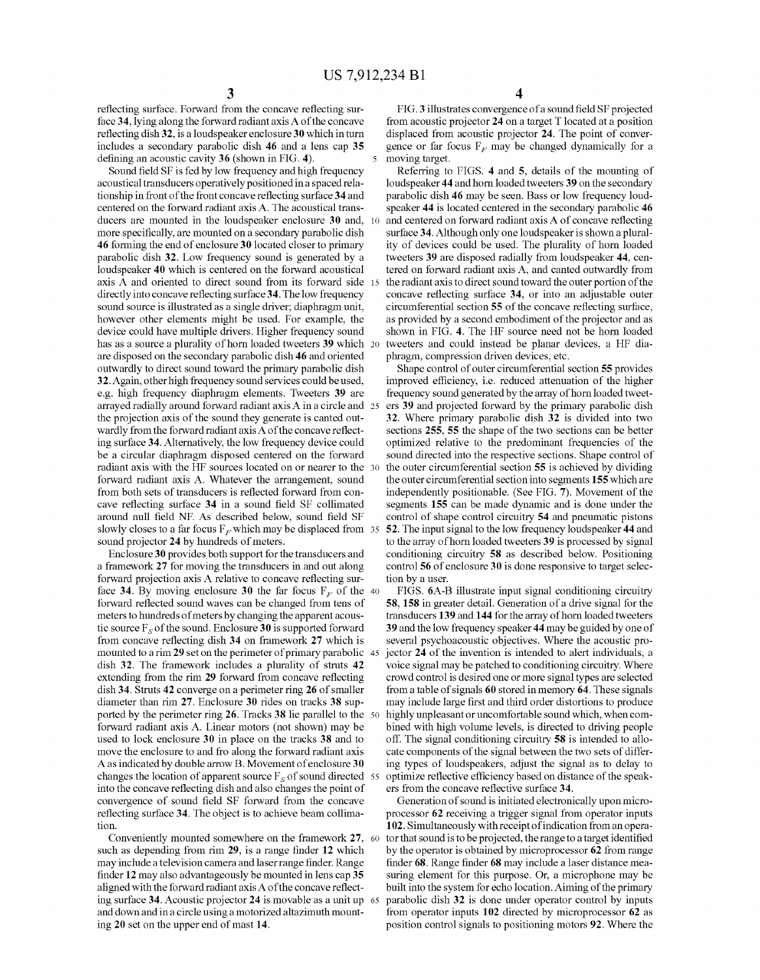reflecting surface. Forward from the concave reflecting sur face 34, lying along the forward radiant axis A of the concave reflecting dish 32, is a loudspeaker enclosure 30 which in turn includes a secondary parabolic dish 46 and a lens cap 35

defining an acoustic cavity 36 (shown in FIG. 4).<br>Sound field SF is fed by low frequency and high frequency acoustical transducers operatively positioned in a spaced relationship in front of the front concave reflecting surface 34 and centered on the forward radiant axis A. The acoustical trans ducers are mounted in the loudspeaker enclosure 30 and, more specifically, are mounted on a secondary parabolic dish 46 forming the end of enclosure 30 located closer to primary parabolic dish 32. Low frequency sound is generated by a loudspeaker 40 which is centered on the forward acoustical axis A and oriented to direct sound from its forward side 15 directly into concave reflecting surface 34. The low frequency sound source is illustrated as a single driver; diaphragm unit, however other elements might be used. For example, the device could have multiple drivers. Higher frequency sound has as a source a plurality of horn loaded tweeters 39 which 20 are disposed on the secondary parabolic dish 46 and oriented outwardly to direct sound toward the primary parabolic dish 32. Again, other high frequency Sound services could be used, e.g. high frequency diaphragm elements. Tweeters 39 are arrayed radially around forward radiant axis A in a circle and 25 the projection axis of the sound they generate is canted outwardly from the forward radiant axis A of the concave reflect ing surface 34. Alternatively, the low frequency device could be a circular diaphragm disposed centered on the forward radiant axis with the HF sources located on or nearer to the 30 forward radiant axis A. Whatever the arrangement, sound from both sets of transducers is reflected forward from con cave reflecting surface 34 in a sound field SF collimated around null field NF. As described below, sound field SF slowly closes to a far focus  $F_F$  which may be displaced from 35 sound projector 24 by hundreds of meters.

Enclosure 30 provides both support for the transducers and a framework 27 for moving the transducers in and out along forward projection axis A relative to concave reflecting surface 34. By moving enclosure 30 the far focus  $F<sub>F</sub>$  of the 40 forward reflected sound waves can be changed from tens of meters to hundreds of meters by changing the apparent acous tic source  $F_s$  of the sound. Enclosure 30 is supported forward from concave reflecting dish 34 on framework 27 which is mounted to a rim 29 set on the perimeter of primary parabolic 45 dish 32. The framework includes a plurality of struts 42 extending from the rim 29 forward from concave reflecting dish 34. Struts 42 converge on a perimeter ring  $26$  of smaller diameter than rim  $27$ . Enclosure 30 rides on tracks 38 supported by the perimeter ring 26. Tracks 38 lie parallel to the 50 forward radiant axis A. Linear motors (not shown) may be used to lock enclosure 30 in place on the tracks 38 and to move the enclosure to and fro along the forward radiant axis A as indicated by double arrow B. Movement of enclosure 30 changes the location of apparent source  $F_s$  of sound directed 55 into the concave reflecting dish and also changes the point of convergence of sound field SF forward from the concave reflecting surface 34. The object is to achieve beam collima tion.

Conveniently mounted somewhere on the framework 27, 60 such as depending from rim 29, is a range finder 12 which may include a television camera and laser range finder. Range finder 12 may also advantageously be mounted in lens cap 35 aligned with the forward radiant axis A of the concave reflect ing surface 34. Acoustic projector 24 is movable as a unit up  $65$ and down and in a circle using a motorized altazimuth mount ing 20 set on the upper end of mast 14.

FIG.3 illustrates convergence of a sound field SF projected from acoustic projector 24 on a target T located at a position displaced from acoustic projector 24. The point of conver gence or far focus  $F_F$  may be changed dynamically for a moving target.

Referring to FIGS. 4 and 5, details of the mounting of loudspeaker 44 and horn loaded tweeters 39 on the secondary parabolic dish 46 may be seen. Bass or low frequency loudspeaker 44 is located centered in the secondary parabolic 46 and centered on forward radiant axis A of concave reflecting surface 34. Although only one loudspeaker is shown a plurality of devices could be used. The plurality of horn loaded tweeters 39 are disposed radially from loudspeaker 44, cen tered on forward radiant axis A, and canted outwardly from the radiant axis to direct sound toward the outer portion of the concave reflecting surface 34, or into an adjustable outer circumferential section 55 of the concave reflecting surface, as provided by a second embodiment of the projector and as shown in FIG. 4. The HF source need not be horn loaded tweeters and could instead be planar devices, a HF dia phragm, compression driven devices, etc.

Shape control of outer circumferential section 55 provides improved efficiency, i.e. reduced attenuation of the higher frequency sound generated by the array of horn loaded tweeters 39 and projected forward by the primary parabolic dish 32. Where primary parabolic dish 32 is divided into two sections 255, 55 the shape of the two sections can be better optimized relative to the predominant frequencies of the sound directed into the respective sections. Shape control of the outer circumferential section 55 is achieved by dividing the outer circumferential section into segments 155 which are independently positionable. (See FIG. 7). Movement of the segments 155 can be made dynamic and is done under the control of shape control circuitry 54 and pneumatic pistons 52. The input signal to the low frequency loudspeaker 44 and to the array of horn loaded tweeters 39 is processed by signal conditioning circuitry 58 as described below. Positioning control 56 of enclosure 30 is done responsive to target selec tion by a user.

FIGS. 6A-B illustrate input signal conditioning circuitry 58, 158 in greater detail. Generation of a drive signal for the transducers 139 and 144 for the array of horn loaded tweeters 39 and the low frequency speaker 44 may be guided by one of several psychoacoustic objectives. Where the acoustic pro jector 24 of the invention is intended to alert individuals, a Voice signal may be patched to conditioning circuitry. Where crowd control is desired one or more signal types are selected from a table of signals 60 stored in memory 64. These signals may include large first and third order distortions to produce highly unpleasant or uncomfortable sound which, when combined with high volume levels, is directed to driving people off. The signal conditioning circuitry 58 is intended to allocate components of the signal between the two sets of differ ing types of loudspeakers, adjust the signal as to delay to ers from the concave reflective surface 34.

Generation of sound is initiated electronically upon microprocessor 62 receiving a trigger signal from operator inputs 102. Simultaneously with receipt of indication from an opera tor that sound is to be projected, the range to a target identified by the operator is obtained by microprocessor 62 from range finder 68. Range finder 68 may include a laser distance mea suring element for this purpose. Or, a microphone may be built into the system for echo location. Aiming of the primary parabolic dish 32 is done under operator control by inputs from operator inputs 102 directed by microprocessor 62 as position control signals to positioning motors 92. Where the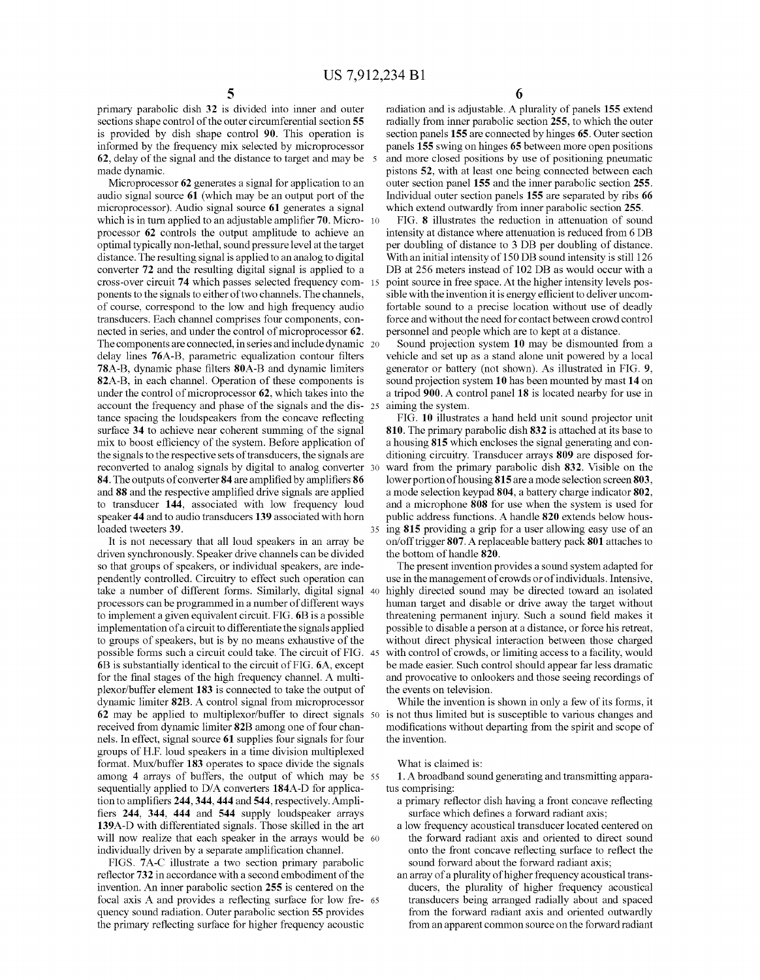primary parabolic dish 32 is divided into inner and outer sections shape control of the outer circumferential section 55 is provided by dish shape control 90. This operation is informed by the frequency mix selected by microprocessor 62, delay of the signal and the distance to target and may be 5 made dynamic.<br>Microprocessor 62 generates a signal for application to an

audio signal source 61 (which may be an output port of the microprocessor). Audio signal source 61 generates a signal which is in turn applied to an adjustable amplifier  $70$ . Micro-  $10$ processor 62 controls the output amplitude to achieve an optimal typically non-lethal, sound pressure level at the target distance. The resulting signal is applied to an analog to digital converter 72 and the resulting digital signal is applied to a cross-over circuit 74 which passes selected frequency com 15 ponents to the signals to either of two channels. The channels, of course, correspond to the low and high frequency audio transducers. Each channel comprises four components, con nected in series, and under the control of microprocessor 62.<br>The components are connected, in series and include dynamic 20 delay lines 76A-B, parametric equalization contour filters 78A-B, dynamic phase filters 80A-B and dynamic limiters 82A-B, in each channel. Operation of these components is under the control of microprocessor 62, which takes into the account the frequency and phase of the signals and the dis- 25 tance spacing the loudspeakers from the concave reflecting surface 34 to achieve near coherent summing of the signal mix to boost efficiency of the system. Before application of the signals to the respective sets of transducers, the signals are reconverted to analog signals by digital to analog converter 30 84. The outputs of converter 84 are amplified by amplifiers 86 and 88 and the respective amplified drive signals are applied to transducer 144, associated with low frequency loud speaker 44 and to audio transducers 139 associated with horn loaded tweeters 39.

It is not necessary that all loud speakers in an array be driven synchronously. Speaker drive channels can be divided so that groups of speakers, or individual speakers, are inde pendently controlled. Circuitry to effect such operation can take a number of different forms. Similarly, digital signal 40 processors can be programmed in a number of different ways to implement a given equivalent circuit. FIG. 6B is a possible implementation of a circuit to differentiate the signals applied to groups of speakers, but is by no means exhaustive of the possible forms such a circuit could take. The circuit of FIG. 45 6B is substantially identical to the circuit of FIG. 6A, except for the final stages of the high frequency channel. A multi plexor/buffer element 183 is connected to take the output of dynamic limiter 82B. A control signal from microprocessor 62 may be applied to multiplexor/buffer to direct signals 50 received from dynamic limiter 82B among one of four chan nels. In effect, signal source 61 Supplies four signals for four groups of H.F. loud speakers in a time division multiplexed format. Mux/buffer 183 operates to space divide the signals among 4 arrays of buffers, the output of which may be 55 sequentially applied to D/A converters 184A-D for application to amplifiers 244, 344, 444 and 544, respectively. Amplifiers 244, 344, 444 and 544 supply loudspeaker arrays 139A-D with differentiated signals. Those skilled in the art will now realize that each speaker in the arrays would be 60 individually driven by a separate amplification channel.

FIGS. 7A-C illustrate a two section primary parabolic reflector 732 in accordance with a second embodiment of the invention. An inner parabolic section 255 is centered on the focal axis A and provides a reflecting surface for low fre quency sound radiation. Outer parabolic section 55 provides the primary reflecting surface for higher frequency acoustic 65 6

radiation and is adjustable. A plurality of panels 155 extend radially from inner parabolic section 255, to which the outer section panels 155 are connected by hinges 65. Outer section panels 155 swing on hinges 65 between more open positions and more closed positions by use of positioning pneumatic pistons 52, with at least one being connected between each outer section panel 155 and the inner parabolic section 255. Individual outer section panels 155 are separated by ribs 66 which extend outwardly from inner parabolic section 255.

FIG. 8 illustrates the reduction in attenuation of sound intensity at distance where attenuation is reduced from 6 DB per doubling of distance to 3 DB per doubling of distance. With an initial intensity of 150 DB sound intensity is still 126 DB at 256 meters instead of 102 DB as would occur with a point source in free space. At the higher intensity levels possible with the invention it is energy efficient to deliver uncom fortable sound to a precise location without use of deadly force and without the need for contact between crowd control personnel and people which are to kept at a distance.

Sound projection system 10 may be dismounted from a vehicle and set up as a stand alone unit powered by a local generator or battery (not shown). As illustrated in FIG. 9. sound projection system 10 has been mounted by mast 14 on a tripod 900. A control panel 18 is located nearby for use in aiming the system.

35 ing 815 providing a grip for a user allowing easy use of an FIG. 10 illustrates a hand held unit sound projector unit 810. The primary parabolic dish 832 is attached at its base to a housing 815 which encloses the signal generating and con ditioning circuitry. Transducer arrays 809 are disposed for ward from the primary parabolic dish 832. Visible on the lower portion of housing 815are a mode selection screen 803, a mode selection keypad 804, a battery charge indicator 802. and a microphone 808 for use when the system is used for public address functions. A handle 820 extends below hous on/offtrigger 807. A replaceable battery pack 801 attaches to the bottom of handle 820.

The present invention provides a sound system adapted for use in the management of crowds or of individuals. Intensive, highly directed sound may be directed toward an isolated human target and disable or drive away the target without threatening permanent injury. Such a sound field makes it possible to disable a person at a distance, or force his retreat, with control of crowds, or limiting access to a facility, would be made easier. Such control should appear far less dramatic and provocative to onlookers and those seeing recordings of the events on television.

While the invention is shown in only a few of its forms, it is not thus limited but is susceptible to various changes and modifications without departing from the spirit and scope of the invention.

#### What is claimed is:

1. A broadband sound generating and transmitting apparatus comprising:

- a primary reflector dish having a front concave reflecting surface which defines a forward radiant axis;
- a low frequency acoustical transducer located centered on the forward radiant axis and oriented to direct sound onto the front concave reflecting surface to reflect the sound forward about the forward radiant axis;
- an array of a plurality of higher frequency acoustical trans ducers, the plurality of higher frequency acoustical transducers being arranged radially about and spaced from the forward radiant axis and oriented outwardly from an apparent common source on the forward radiant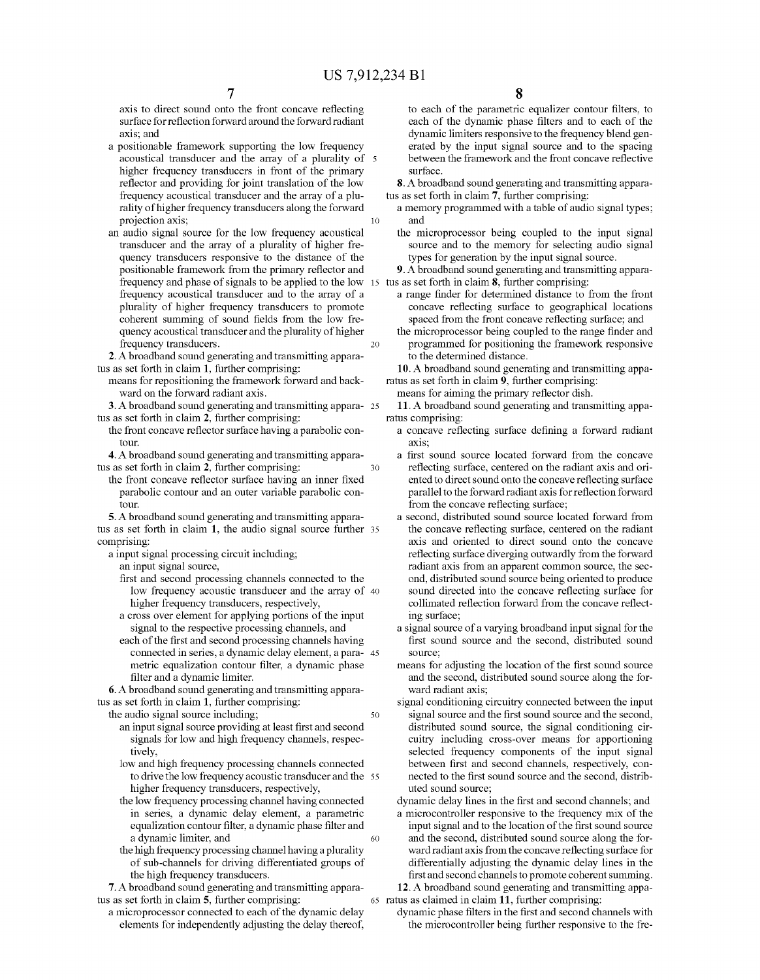30

50

axis to direct sound onto the front concave reflecting surface for reflection forward around the forward radiant axis; and

- a positionable framework supporting the low frequency acoustical transducer and the array of a plurality of 5 higher frequency transducers in front of the primary reflector and providing for joint translation of the low<br>frequency acoustical transducer and the array of a plurality of higher frequency transducers along the forward projection axis; 10
- an audio signal source for the low frequency acoustical transducer and the array of a plurality of higher fre quency transducers responsive to the distance of the positionable framework from the primary reflector and frequency and phase of signals to be applied to the low frequency acoustical transducer and to the array of a plurality of higher frequency transducers to promote coherent summing of sound fields from the low fre quency acoustical transducer and the plurality of higher frequency transducers. 20

2. A broadband sound generating and transmitting apparatus as set forth in claim 1, further comprising:

- means for repositioning the framework forward and back ward on the forward radiant axis.
- 3. Abroadband Sound generating and transmitting appara 25 tus as set forth in claim 2, further comprising:
	- the front concave reflector surface having a parabolic contOur.

4. A broadband sound generating and transmitting apparatus as set forth in claim 2, further comprising:

the front concave reflector surface having an inner fixed parabolic contour and an outer variable parabolic con tOur.

5. A broadband sound generating and transmitting apparatus as set forth in claim  $\bf{1}$ , the audio signal source further  $\bf{35}$ comprising:

a input signal processing circuit including;

an input signal source,

- first and second processing channels connected to the low frequency acoustic transducer and the array of 40
- higher frequency transducers, respectively,<br>a cross over element for applying portions of the input signal to the respective processing channels, and
- each of the first and second processing channels having metric equalization contour filter, a dynamic phase filter and a dynamic limiter. connected in series, a dynamic delay element, a para- 45

6. A broadband sound generating and transmitting appara-<br>tus as set forth in claim 1, further comprising:

the audio signal source including;

- an input signal source providing at least first and second signals for low and high frequency channels, respectively.
- low and high frequency processing channels connected to drive the low frequency acoustic transducer and the 55 higher frequency transducers, respectively,
- the low frequency processing channel having connected in series, a dynamic delay element, a parametric equalization contour filter, a dynamic phase filter and a dynamic limiter, and 60
- the high frequency processing channel having a plurality of sub-channels for driving differentiated groups of the high frequency transducers.

7. A broadband sound generating and transmitting apparatus as set forth in claim 5, further comprising:

a microprocessor connected to each of the dynamic delay elements for independently adjusting the delay thereof, to each of the parametric equalizer contour filters, to each of the dynamic phase filters and to each of the dynamic limiters responsive to the frequency blend generated by the input signal source and to the spacing between the framework and the front concave reflective Surface.

8. A broadband sound generating and transmitting apparatus as set forth in claim 7, further comprising:

- a memory programmed with a table of audio signal types; and
- the microprocessor being coupled to the input signal source and to the memory for selecting audio signal types for generation by the input signal source.

15 tus as set forth in claim 8, further comprising: 9. Abroadband Sound generating and transmitting appara

- a range finder for determined distance to from the front concave reflecting surface to geographical locations spaced from the front concave reflecting surface; and
- the microprocessor being coupled to the range finder and programmed for positioning the framework responsive to the determined distance.

10. A broadband sound generating and transmitting appa ratus as set forth in claim 9, further comprising:

means for aiming the primary reflector dish.

11. A broadband sound generating and transmitting appa ratus comprising:

- a concave reflecting surface defining a forward radiant axis:
- a first sound source located forward from the concave reflecting surface, centered on the radiant axis and oriented to direct sound onto the concave reflecting surface parallel to the forward radiant axis for reflection forward from the concave reflecting surface;
- a second, distributed sound source located forward from the concave reflecting surface, centered on the radiant axis and oriented to direct sound onto the concave reflecting surface diverging outwardly from the forward radiant axis from an apparent common Source, the sec ond, distributed sound source being oriented to produce sound directed into the concave reflecting surface for collimated reflection forward from the concave reflect ing Surface;
- a signal source of a varying broadband input signal for the first sound source and the second, distributed sound Source;

means for adjusting the location of the first sound source and the second, distributed sound source along the forward radiant axis;

signal conditioning circuitry connected between the input signal source and the first sound source and the second, distributed sound source, the signal conditioning circuitry including cross-over means for apportioning selected frequency components of the input signal between first and second channels, respectively, con nected to the first sound source and the second, distrib uted sound source:

dynamic delay lines in the first and second channels; and a microcontroller responsive to the frequency mix of the input signal and to the location of the first sound source and the second, distributed sound source along the forward radiant axis from the concave reflecting surface for differentially adjusting the dynamic delay lines in the first and second channels to promote coherent summing.

65 ratus as claimed in claim 11, further comprising: 12. A broadband sound generating and transmitting appa

dynamic phase filters in the first and second channels with the microcontroller being further responsive to the fre